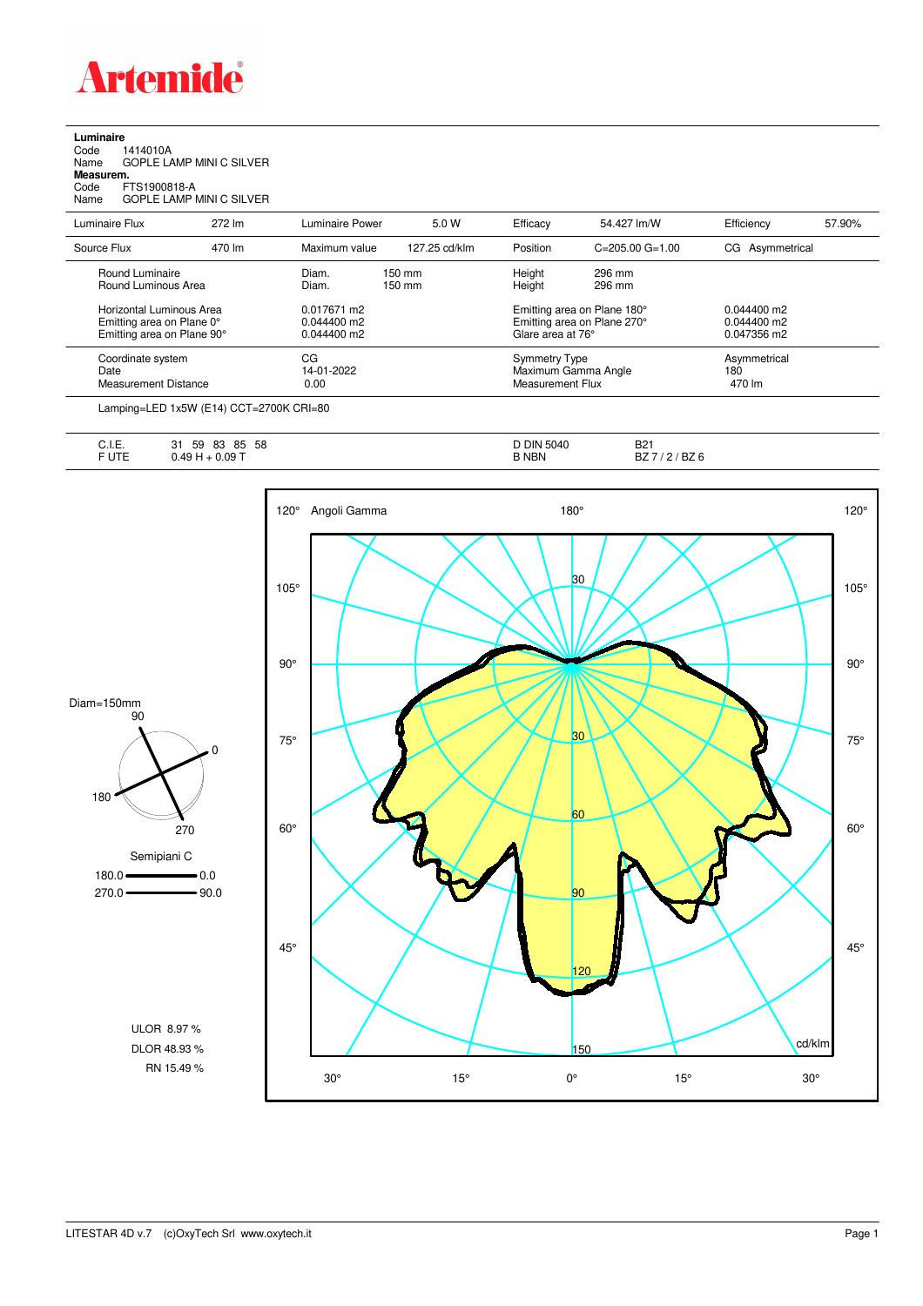

**Luminaire**<br>Code 1<br>Name ( Code 1414010A Name GOPLE LAMP MINI C SILVER **Measurem.**

Code FTS1900818-A Name GOPLE LAMP MINI C SILVER

| Luminaire Flux                                                                      | 272 lm | Luminaire Power                               | 5.0 W                      | Efficacy                                                                        | 54.427 lm/W                                                     | Efficiency                                    | 57.90%                        |  |
|-------------------------------------------------------------------------------------|--------|-----------------------------------------------|----------------------------|---------------------------------------------------------------------------------|-----------------------------------------------------------------|-----------------------------------------------|-------------------------------|--|
| Source Flux                                                                         | 470 lm | Maximum value                                 | 127.25 cd/klm              | Position                                                                        | $C = 205.00$ $G = 1.00$                                         | CG Asymmetrical                               |                               |  |
| Round Luminaire<br>Round Luminous Area                                              |        | Diam.<br>Diam.                                | 150 mm<br>$150 \text{ mm}$ | Height<br>Height                                                                | 296 mm<br>296 mm                                                |                                               |                               |  |
| Horizontal Luminous Area<br>Emitting area on Plane 0°<br>Emitting area on Plane 90° |        | 0.017671 m2<br>$0.044400$ m2<br>$0.044400$ m2 |                            | Emitting area on Plane 180°<br>Emitting area on Plane 270°<br>Glare area at 76° |                                                                 | $0.044400$ m2<br>$0.044400$ m2<br>0.047356 m2 |                               |  |
| Coordinate system<br>Date<br>Measurement Distance                                   |        | CG<br>14-01-2022<br>0.00                      |                            |                                                                                 | <b>Symmetry Type</b><br>Maximum Gamma Angle<br>Measurement Flux |                                               | Asymmetrical<br>180<br>470 lm |  |
|                                                                                     |        |                                               |                            |                                                                                 |                                                                 |                                               |                               |  |

Lamping=LED 1x5W (E14) CCT=2700K CRI=80

| $\overline{1}$<br>--<br>∪. I. ⊏. | 58<br>83<br>59<br>85<br>∍ י<br>ີ | D DIN<br>5040 | <b>DO1</b><br>DZ. |
|----------------------------------|----------------------------------|---------------|-------------------|
| - 11-0<br>◡喉                     | 0.09T<br>U.TU                    | 3 NBN         | BZ 6<br>DZ        |